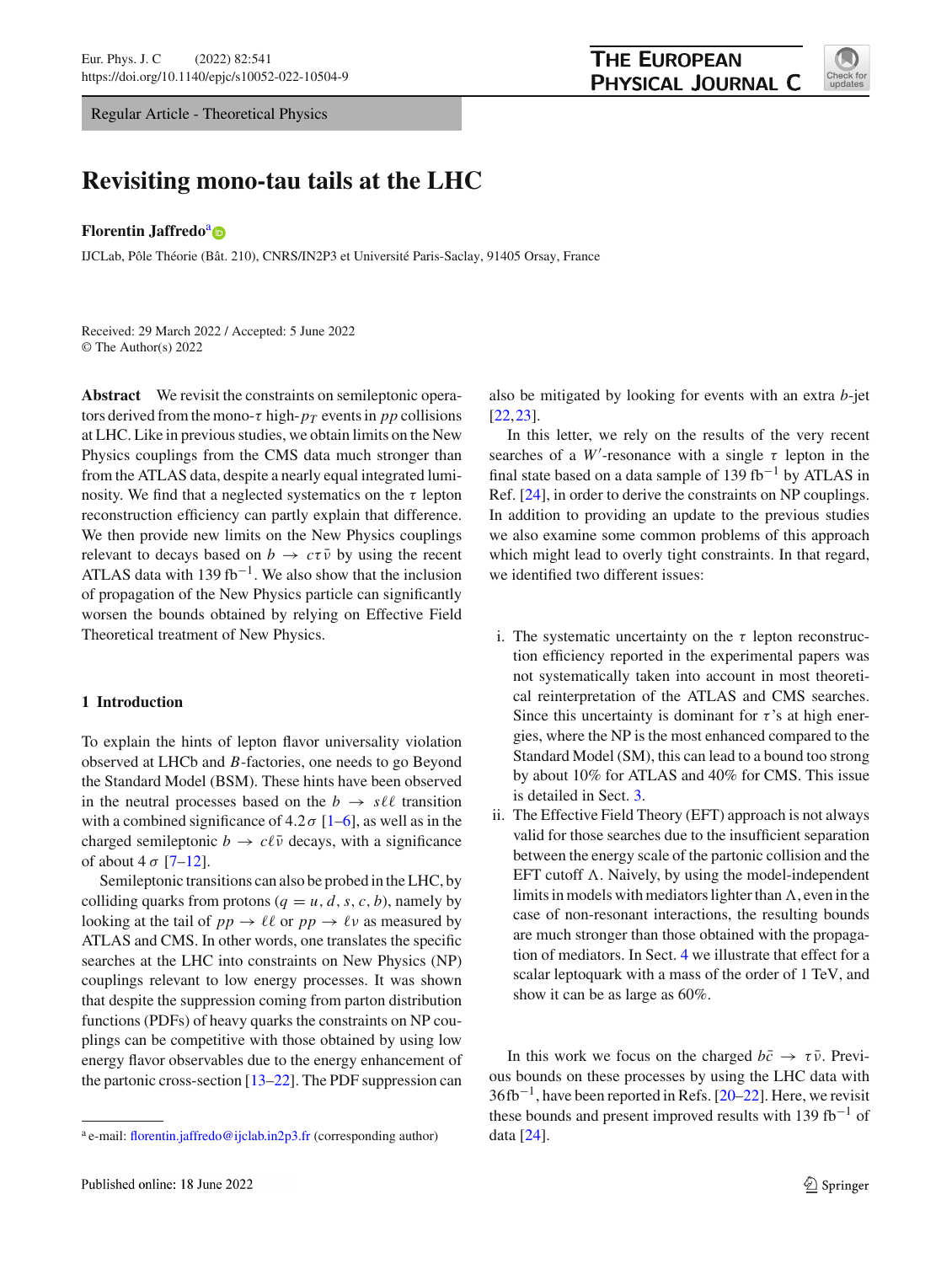Regular Article - Theoretical Physics

# **THE EUROPEAN** PHYSICAL JOURNAL C



# **Revisiting mono-tau tails at the LHC**

## **Florentin J[a](http://orcid.org/0000-0002-7673-9448)ffredo<sup>a</sup> D**

IJCLab, Pôle Théorie (Bât. 210), CNRS/IN2P3 et Université Paris-Saclay, 91405 Orsay, France

Received: 29 March 2022 / Accepted: 5 June 2022 © The Author(s) 2022

**Abstract** We revisit the constraints on semileptonic operators derived from the mono- $\tau$  high- $p_T$  events in pp collisions at LHC. Like in previous studies, we obtain limits on the New Physics couplings from the CMS data much stronger than from the ATLAS data, despite a nearly equal integrated luminosity. We find that a neglected systematics on the  $\tau$  lepton reconstruction efficiency can partly explain that difference. We then provide new limits on the New Physics couplings relevant to decays based on  $b \to c\tau\bar{\nu}$  by using the recent ATLAS data with 139 fb<sup>-1</sup>. We also show that the inclusion of propagation of the New Physics particle can significantly worsen the bounds obtained by relying on Effective Field Theoretical treatment of New Physics.

# **1 Introduction**

To explain the hints of lepton flavor universality violation observed at LHCb and *B*-factories, one needs to go Beyond the Standard Model (BSM). These hints have been observed in the neutral processes based on the  $b \rightarrow s \ell \ell$  transition with a combined significance of  $4.2\sigma$  [\[1](#page-6-0)[–6](#page-6-1)], as well as in the charged semileptonic  $b \to c\ell\bar{\nu}$  decays, with a significance of about 4  $\sigma$  [\[7](#page-6-2)[–12](#page-6-3)].

Semileptonic transitions can also be probed in the LHC, by colliding quarks from protons ( $q = u, d, s, c, b$ ), namely by looking at the tail of  $pp \to \ell \ell$  or  $pp \to \ell \nu$  as measured by ATLAS and CMS. In other words, one translates the specific searches at the LHC into constraints on New Physics (NP) couplings relevant to low energy processes. It was shown that despite the suppression coming from parton distribution functions (PDFs) of heavy quarks the constraints on NP couplings can be competitive with those obtained by using low energy flavor observables due to the energy enhancement of the partonic cross-section [\[13](#page-6-4)[–22](#page-6-5)]. The PDF suppression can also be mitigated by looking for events with an extra *b*-jet [\[22](#page-6-5),[23\]](#page-6-6).

In this letter, we rely on the results of the very recent searches of a *W*<sup> $\prime$ </sup>-resonance with a single  $\tau$  lepton in the final state based on a data sample of 139 fb<sup>-1</sup> by ATLAS in Ref. [\[24](#page-6-7)], in order to derive the constraints on NP couplings. In addition to providing an update to the previous studies we also examine some common problems of this approach which might lead to overly tight constraints. In that regard, we identified two different issues:

- i. The systematic uncertainty on the  $\tau$  lepton reconstruction efficiency reported in the experimental papers was not systematically taken into account in most theoretical reinterpretation of the ATLAS and CMS searches. Since this uncertainty is dominant for  $\tau$ 's at high energies, where the NP is the most enhanced compared to the Standard Model (SM), this can lead to a bound too strong by about 10% for ATLAS and 40% for CMS. This issue is detailed in Sect. [3.](#page-2-0)
- ii. The Effective Field Theory (EFT) approach is not always valid for those searches due to the insufficient separation between the energy scale of the partonic collision and the EFT cutoff  $\Lambda$ . Naively, by using the model-independent limits in models with mediators lighter than  $\Lambda$ , even in the case of non-resonant interactions, the resulting bounds are much stronger than those obtained with the propagation of mediators. In Sect. [4](#page-3-0) we illustrate that effect for a scalar leptoquark with a mass of the order of 1 TeV, and show it can be as large as 60%.

In this work we focus on the charged  $b\bar{c} \rightarrow \tau \bar{\nu}$ . Previous bounds on these processes by using the LHC data with  $36fb^{-1}$ , have been reported in Refs. [\[20](#page-6-8)[–22](#page-6-5)]. Here, we revisit these bounds and present improved results with 139 fb<sup>-1</sup> of data [\[24\]](#page-6-7).

<sup>&</sup>lt;sup>a</sup> e-mail: [florentin.jaffredo@ijclab.in2p3.fr](mailto:florentin.jaffredo@ijclab.in2p3.fr) (corresponding author)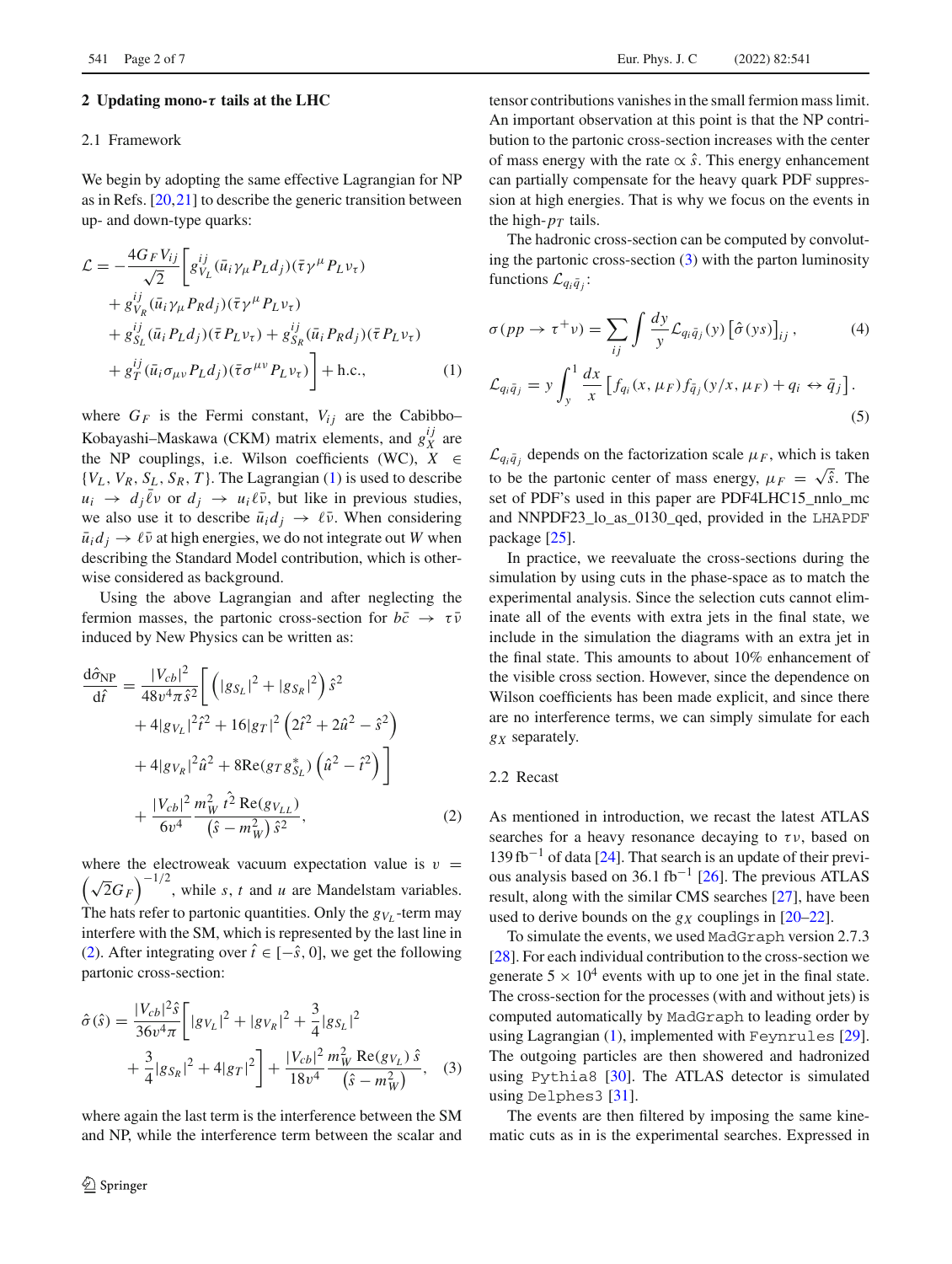#### <span id="page-1-3"></span>**2 Updating mono-***τ* **tails at the LHC**

#### 2.1 Framework

We begin by adopting the same effective Lagrangian for NP as in Refs. [\[20](#page-6-8)[,21](#page-6-9)] to describe the generic transition between up- and down-type quarks:

$$
\mathcal{L} = -\frac{4G_F V_{ij}}{\sqrt{2}} \left[ g_{V_L}^{ij} (\bar{u}_i \gamma_\mu P_L d_j) (\bar{\tau} \gamma^\mu P_L \nu_\tau) + g_{V_R}^{ij} (\bar{u}_i \gamma_\mu P_R d_j) (\bar{\tau} \gamma^\mu P_L \nu_\tau) + g_{S_L}^{ij} (\bar{u}_i P_L d_j) (\bar{\tau} P_L \nu_\tau) + g_{S_R}^{ij} (\bar{u}_i P_R d_j) (\bar{\tau} P_L \nu_\tau) + g_{T}^{ij} (\bar{u}_i \sigma_{\mu\nu} P_L d_j) (\bar{\tau} \sigma^{\mu\nu} P_L \nu_\tau) \right] + \text{h.c.}, \tag{1}
$$

where  $G_F$  is the Fermi constant,  $V_{ij}$  are the Cabibbo– Kobayashi–Maskawa (CKM) matrix elements, and  $g_X^{ij}$  are the NP couplings, i.e. Wilson coefficients (WC),  $X \in$  ${V_L, V_R, S_L, S_R, T}$ . The Lagrangian [\(1\)](#page-1-0) is used to describe  $u_i \rightarrow d_i \bar{\ell} \nu$  or  $d_i \rightarrow u_i \ell \bar{\nu}$ , but like in previous studies, we also use it to describe  $\bar{u}_i d_j \rightarrow \ell \bar{\nu}$ . When considering  $\bar{u}_i d_j \rightarrow \ell \bar{\nu}$  at high energies, we do not integrate out *W* when describing the Standard Model contribution, which is otherwise considered as background.

Using the above Lagrangian and after neglecting the fermion masses, the partonic cross-section for  $b\bar{c} \rightarrow \tau \bar{\nu}$ induced by New Physics can be written as:

$$
\frac{d\hat{\sigma}_{NP}}{d\hat{t}} = \frac{|V_{cb}|^2}{48v^4\pi \hat{s}^2} \left[ \left( |g_{S_L}|^2 + |g_{S_R}|^2 \right) \hat{s}^2 \right. \n+ 4|g_{V_L}|^2 \hat{t}^2 + 16|g_T|^2 \left( 2\hat{t}^2 + 2\hat{u}^2 - \hat{s}^2 \right) \n+ 4|g_{V_R}|^2 \hat{u}^2 + 8 \text{Re}(g_T g_{S_L}^*) \left( \hat{u}^2 - \hat{t}^2 \right) \right] \n+ \frac{|V_{cb}|^2}{6v^4} \frac{m_W^2 \hat{t}^2 \text{Re}(g_{V_{LL}})}{(\hat{s} - m_W^2) \hat{s}^2},
$$
\n(2)

where the electroweak vacuum expectation value is  $v =$  $(\sqrt{2}G_F)^{-1/2}$ , while *s*, *t* and *u* are Mandelstam variables. The hats refer to partonic quantities. Only the  $g_{V_L}$ -term may interfere with the SM, which is represented by the last line in [\(2\)](#page-1-1). After integrating over  $\hat{t} \in [-\hat{s}, 0]$ , we get the following partonic cross-section:

$$
\hat{\sigma}(\hat{s}) = \frac{|V_{cb}|^2 \hat{s}}{36v^4 \pi} \left[ |g_{V_L}|^2 + |g_{V_R}|^2 + \frac{3}{4} |g_{S_L}|^2 + \frac{3}{4} |g_{S_R}|^2 + 4|g_{T}|^2 \right] + \frac{|V_{cb}|^2}{18v^4} \frac{m_W^2 \text{Re}(g_{V_L}) \hat{s}}{(\hat{s} - m_W^2)}, \quad (3)
$$

where again the last term is the interference between the SM and NP, while the interference term between the scalar and tensor contributions vanishes in the small fermion mass limit. An important observation at this point is that the NP contribution to the partonic cross-section increases with the center of mass energy with the rate ∝ ˆ*s*. This energy enhancement can partially compensate for the heavy quark PDF suppression at high energies. That is why we focus on the events in the high- $p_T$  tails.

The hadronic cross-section can be computed by convoluting the partonic cross-section [\(3\)](#page-1-2) with the parton luminosity functions  $\mathcal{L}_{q_i\bar{q}_i}$ :

<span id="page-1-0"></span>
$$
\sigma(pp \to \tau^+ \nu) = \sum_{ij} \int \frac{dy}{y} \mathcal{L}_{q_i \bar{q}_j}(y) \left[ \hat{\sigma}(ys) \right]_{ij},
$$
\n
$$
\mathcal{L}_{q_i \bar{q}_j} = y \int_y^1 \frac{dx}{x} \left[ f_{q_i}(x, \mu_F) f_{\bar{q}_j}(y/x, \mu_F) + q_i \leftrightarrow \bar{q}_j \right].
$$
\n(5)

 $\mathcal{L}_{q_i\bar{q}_i}$  depends on the factorization scale  $\mu_F$ , which is taken to be the partonic center of mass energy,  $\mu_F = \sqrt{\hat{s}}$ . The set of PDF's used in this paper are PDF4LHC15\_nnlo\_mc and NNPDF23\_lo\_as\_0130\_qed, provided in the LHAPDF package [\[25\]](#page-6-10).

In practice, we reevaluate the cross-sections during the simulation by using cuts in the phase-space as to match the experimental analysis. Since the selection cuts cannot eliminate all of the events with extra jets in the final state, we include in the simulation the diagrams with an extra jet in the final state. This amounts to about 10% enhancement of the visible cross section. However, since the dependence on Wilson coefficients has been made explicit, and since there are no interference terms, we can simply simulate for each *gX* separately.

## <span id="page-1-1"></span>2.2 Recast

As mentioned in introduction, we recast the latest ATLAS searches for a heavy resonance decaying to  $\tau v$ , based on  $139$  fb<sup>-1</sup> of data [\[24](#page-6-7)]. That search is an update of their previ-ous analysis based on 36.1 fb<sup>-1</sup> [\[26\]](#page-6-11). The previous ATLAS result, along with the similar CMS searches [\[27](#page-6-12)], have been used to derive bounds on the  $g_X$  couplings in  $[20-22]$  $[20-22]$ .

To simulate the events, we used MadGraph version 2.7.3 [\[28](#page-6-13)]. For each individual contribution to the cross-section we generate  $5 \times 10^4$  events with up to one jet in the final state. The cross-section for the processes (with and without jets) is computed automatically by MadGraph to leading order by using Lagrangian [\(1\)](#page-1-0), implemented with Feynrules [\[29](#page-6-14)]. The outgoing particles are then showered and hadronized using Pythia8 [\[30\]](#page-6-15). The ATLAS detector is simulated using Delphes3 [\[31\]](#page-6-16).

<span id="page-1-2"></span>The events are then filtered by imposing the same kinematic cuts as in is the experimental searches. Expressed in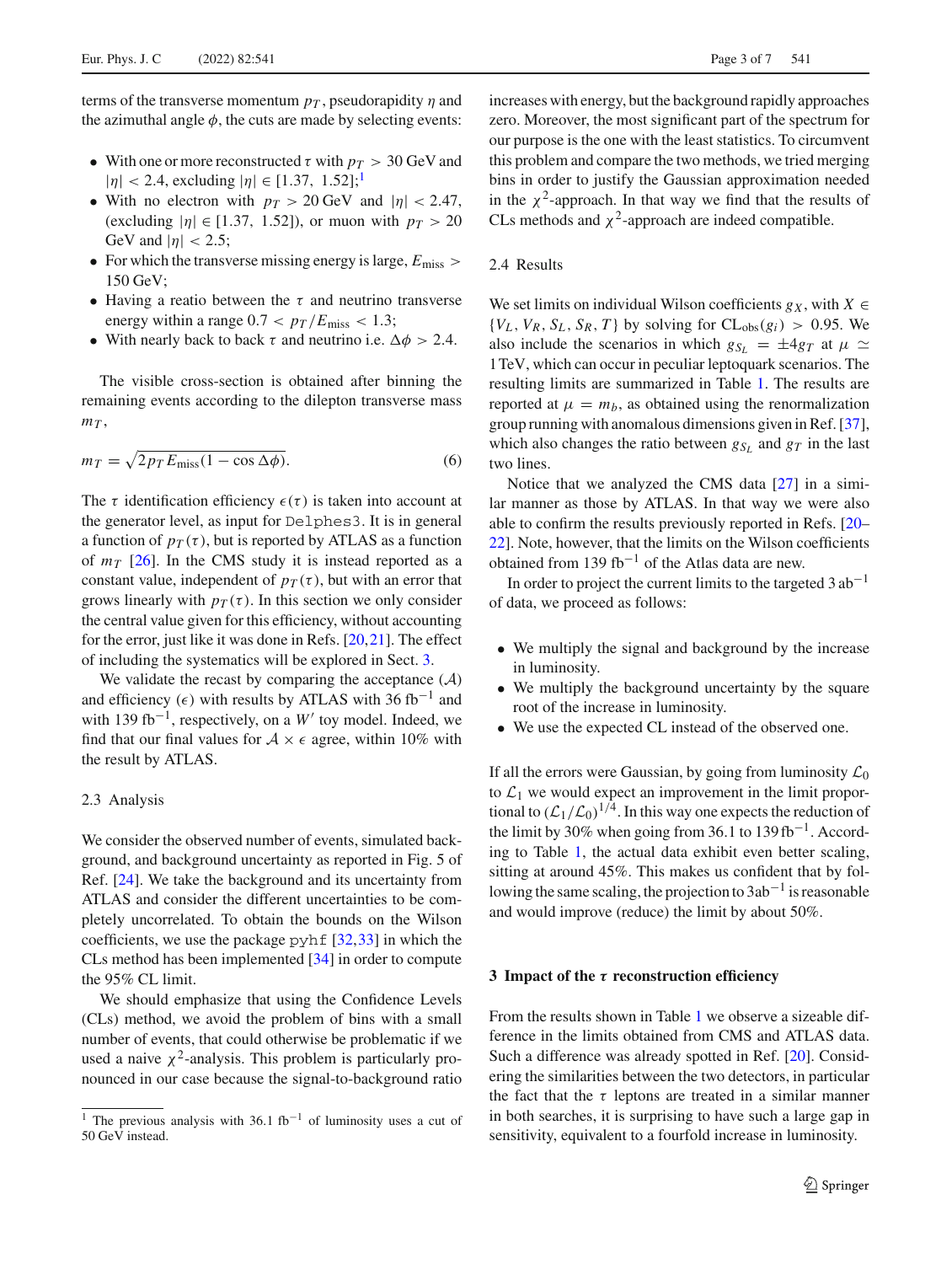terms of the transverse momentum  $p<sub>T</sub>$ , pseudorapidity  $\eta$  and the azimuthal angle  $\phi$ , the cuts are made by selecting events:

- With one or more reconstructed  $\tau$  with  $p_T > 30$  GeV and  $|\eta| < 2.4$ , excluding  $|\eta| \in [1.37, 1.52];$  $|\eta| \in [1.37, 1.52];$  $|\eta| \in [1.37, 1.52];$ <sup>1</sup>
- With no electron with  $p_T > 20$  GeV and  $|\eta| < 2.47$ , (excluding  $|\eta| \in [1.37, 1.52]$ ), or muon with  $p_T > 20$ GeV and  $|\eta|$  < 2.5;
- For which the transverse missing energy is large,  $E_{\text{miss}}$  > 150 GeV;
- Having a reatio between the  $\tau$  and neutrino transverse energy within a range  $0.7 < p_T/E_{\text{miss}} < 1.3$ ;
- With nearly back to back  $\tau$  and neutrino i.e.  $\Delta \phi > 2.4$ .

The visible cross-section is obtained after binning the remaining events according to the dilepton transverse mass  $m<sub>T</sub>$ ,

$$
m_T = \sqrt{2p_T E_{\text{miss}}(1 - \cos \Delta \phi)}.
$$
 (6)

The  $\tau$  identification efficiency  $\epsilon(\tau)$  is taken into account at the generator level, as input for Delphes3. It is in general a function of  $p_T(\tau)$ , but is reported by ATLAS as a function of  $m<sub>T</sub>$  [\[26](#page-6-11)]. In the CMS study it is instead reported as a constant value, independent of  $p_T(\tau)$ , but with an error that grows linearly with  $p_T(\tau)$ . In this section we only consider the central value given for this efficiency, without accounting for the error, just like it was done in Refs. [\[20](#page-6-8)[,21](#page-6-9)]. The effect of including the systematics will be explored in Sect. [3.](#page-2-0)

We validate the recast by comparing the acceptance  $(A)$ and efficiency ( $\epsilon$ ) with results by ATLAS with 36 fb<sup>-1</sup> and with 139 fb<sup>-1</sup>, respectively, on a *W'* toy model. Indeed, we find that our final values for  $A \times \epsilon$  agree, within 10% with the result by ATLAS.

# 2.3 Analysis

We consider the observed number of events, simulated background, and background uncertainty as reported in Fig. 5 of Ref. [\[24](#page-6-7)]. We take the background and its uncertainty from ATLAS and consider the different uncertainties to be completely uncorrelated. To obtain the bounds on the Wilson coefficients, we use the package pyhf [\[32](#page-6-17)[,33](#page-6-18)] in which the CLs method has been implemented [\[34](#page-6-19)] in order to compute the 95% CL limit.

We should emphasize that using the Confidence Levels (CLs) method, we avoid the problem of bins with a small number of events, that could otherwise be problematic if we used a naive  $\chi^2$ -analysis. This problem is particularly pronounced in our case because the signal-to-background ratio increases with energy, but the background rapidly approaches zero. Moreover, the most significant part of the spectrum for our purpose is the one with the least statistics. To circumvent this problem and compare the two methods, we tried merging bins in order to justify the Gaussian approximation needed in the  $\chi^2$ -approach. In that way we find that the results of CLs methods and  $\chi^2$ -approach are indeed compatible.

## 2.4 Results

We set limits on individual Wilson coefficients  $g_X$ , with  $X \in$  ${V_L, V_R, S_L, S_R, T}$  by solving for  $CL_{obs}(g_i) > 0.95$ . We also include the scenarios in which  $g_{S_L} = \pm 4g_T$  at  $\mu \simeq$ 1TeV, which can occur in peculiar leptoquark scenarios. The resulting limits are summarized in Table [1.](#page-3-1) The results are reported at  $\mu = m_b$ , as obtained using the renormalization group running with anomalous dimensions given in Ref. [\[37](#page-6-20)], which also changes the ratio between  $g_{S_L}$  and  $g_T$  in the last two lines.

Notice that we analyzed the CMS data [\[27\]](#page-6-12) in a similar manner as those by ATLAS. In that way we were also able to confirm the results previously reported in Refs. [\[20](#page-6-8)– [22](#page-6-5)]. Note, however, that the limits on the Wilson coefficients obtained from 139 fb<sup>-1</sup> of the Atlas data are new.

In order to project the current limits to the targeted  $3 ab^{-1}$ of data, we proceed as follows:

- We multiply the signal and background by the increase in luminosity.
- We multiply the background uncertainty by the square root of the increase in luminosity.
- We use the expected CL instead of the observed one.

If all the errors were Gaussian, by going from luminosity  $\mathcal{L}_0$ to  $\mathcal{L}_1$  we would expect an improvement in the limit proportional to  $(\mathcal{L}_1/\mathcal{L}_0)^{1/4}$ . In this way one expects the reduction of the limit by 30% when going from 36.1 to 139 fb<sup>-1</sup>. According to Table [1,](#page-3-1) the actual data exhibit even better scaling, sitting at around 45%. This makes us confident that by following the same scaling, the projection to  $3ab^{-1}$  is reasonable and would improve (reduce) the limit by about 50%.

#### <span id="page-2-0"></span>**3 Impact of the** *τ* **reconstruction efficiency**

From the results shown in Table [1](#page-3-1) we observe a sizeable difference in the limits obtained from CMS and ATLAS data. Such a difference was already spotted in Ref. [\[20](#page-6-8)]. Considering the similarities between the two detectors, in particular the fact that the  $\tau$  leptons are treated in a similar manner in both searches, it is surprising to have such a large gap in sensitivity, equivalent to a fourfold increase in luminosity.

<span id="page-2-1"></span><sup>&</sup>lt;sup>1</sup> The previous analysis with 36.1 fb<sup>-1</sup> of luminosity uses a cut of 50 GeV instead.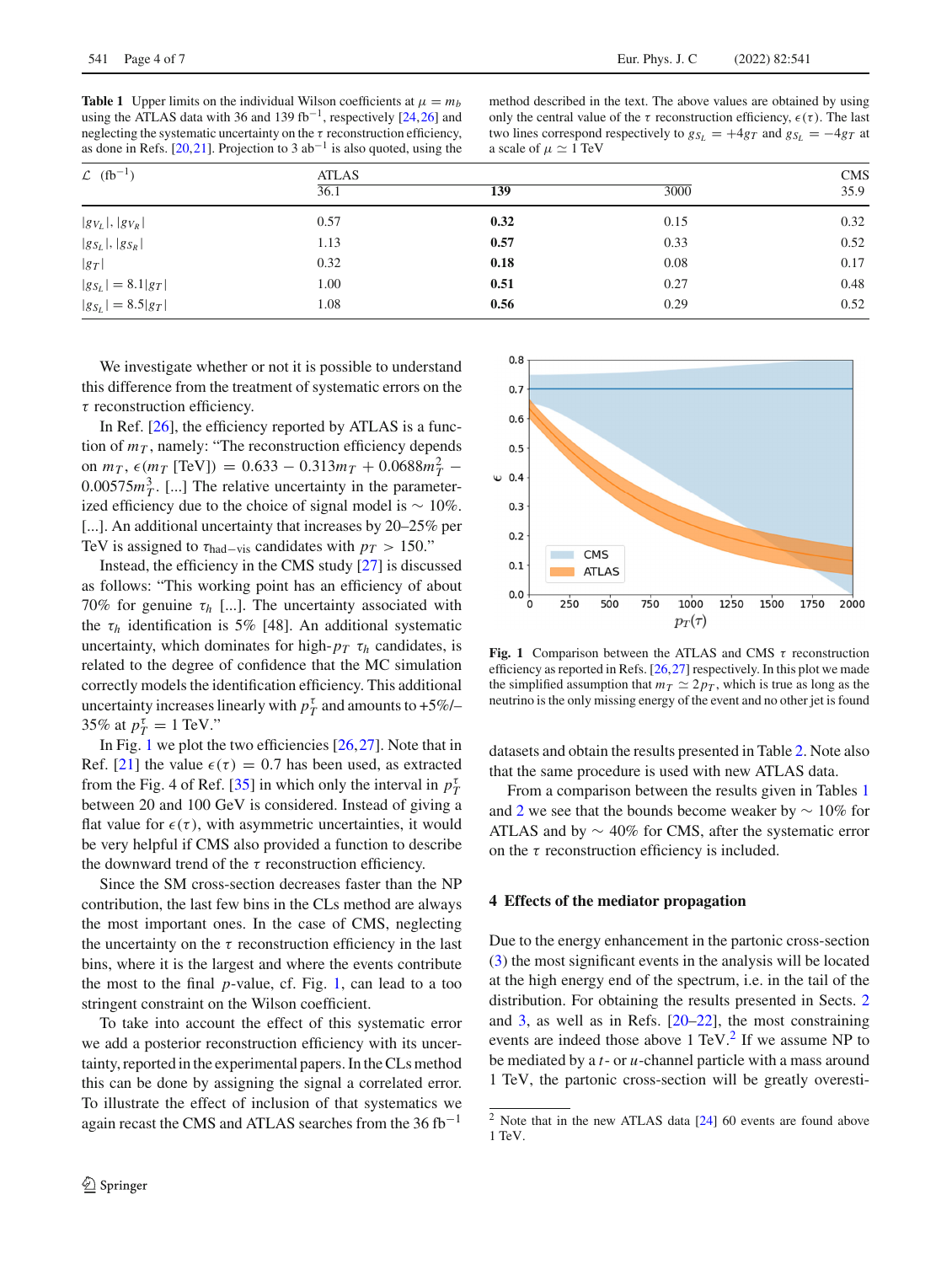<span id="page-3-1"></span>**Table 1** Upper limits on the individual Wilson coefficients at  $\mu = m_b$ using the ATLAS data with 36 and 139 fb<sup>-1</sup>, respectively [\[24](#page-6-7)[,26\]](#page-6-11) and neglecting the systematic uncertainty on the  $\tau$  reconstruction efficiency, as done in Refs. [\[20](#page-6-8)[,21\]](#page-6-9). Projection to 3  $ab^{-1}$  is also quoted, using the

method described in the text. The above values are obtained by using only the central value of the  $\tau$  reconstruction efficiency,  $\epsilon(\tau)$ . The last two lines correspond respectively to  $g_{S_L} = +4g_T$  and  $g_{S_L} = -4g_T$  at a scale of  $\mu \simeq 1$  TeV

| $\mathcal{L}$ (fb <sup>-1</sup> ) | <b>ATLAS</b> |      |      | <b>CMS</b> |
|-----------------------------------|--------------|------|------|------------|
|                                   | 36.1         | 139  | 3000 | 35.9       |
| $ g_{V_L} ,  g_{V_R} $            | 0.57         | 0.32 | 0.15 | 0.32       |
| $ g_{S_L} ,  g_{S_R} $            | 1.13         | 0.57 | 0.33 | 0.52       |
| $ g_T $                           | 0.32         | 0.18 | 0.08 | 0.17       |
| $ g_{S_L}  = 8.1 g_T $            | 1.00         | 0.51 | 0.27 | 0.48       |
| $ g_{S_L}  = 8.5 g_T $            | 1.08         | 0.56 | 0.29 | 0.52       |

We investigate whether or not it is possible to understand this difference from the treatment of systematic errors on the τ reconstruction efficiency.

In Ref. [\[26\]](#page-6-11), the efficiency reported by ATLAS is a function of  $m<sub>T</sub>$ , namely: "The reconstruction efficiency depends on  $m_T$ ,  $\epsilon$ ( $m_T$  [TeV]) = 0.633 – 0.313 $m_T$  + 0.0688 $m_T^2$  –  $0.00575m<sub>T</sub><sup>3</sup>$ . [...] The relative uncertainty in the parameterized efficiency due to the choice of signal model is  $\sim 10\%$ . [...]. An additional uncertainty that increases by 20–25% per TeV is assigned to  $\tau_{\text{had}-\text{vis}}$  candidates with  $p_T > 150$ ."

Instead, the efficiency in the CMS study [\[27](#page-6-12)] is discussed as follows: "This working point has an efficiency of about 70% for genuine  $\tau_h$  [...]. The uncertainty associated with the  $\tau_h$  identification is 5% [48]. An additional systematic uncertainty, which dominates for high- $p_T \tau_h$  candidates, is related to the degree of confidence that the MC simulation correctly models the identification efficiency. This additional uncertainty increases linearly with  $p_T^{\tau}$  and amounts to  $+5\%$ /-35% at  $p_T^{\tau} = 1$  TeV."

In Fig. [1](#page-3-2) we plot the two efficiencies [\[26](#page-6-11),[27\]](#page-6-12). Note that in Ref. [\[21](#page-6-9)] the value  $\epsilon(\tau) = 0.7$  has been used, as extracted from the Fig. 4 of Ref. [\[35\]](#page-6-21) in which only the interval in  $p_T^{\tau}$ between 20 and 100 GeV is considered. Instead of giving a flat value for  $\epsilon(\tau)$ , with asymmetric uncertainties, it would be very helpful if CMS also provided a function to describe the downward trend of the  $\tau$  reconstruction efficiency.

Since the SM cross-section decreases faster than the NP contribution, the last few bins in the CLs method are always the most important ones. In the case of CMS, neglecting the uncertainty on the  $\tau$  reconstruction efficiency in the last bins, where it is the largest and where the events contribute the most to the final *p*-value, cf. Fig. [1,](#page-3-2) can lead to a too stringent constraint on the Wilson coefficient.

To take into account the effect of this systematic error we add a posterior reconstruction efficiency with its uncertainty, reported in the experimental papers. In the CLs method this can be done by assigning the signal a correlated error. To illustrate the effect of inclusion of that systematics we again recast the CMS and ATLAS searches from the  $36$  fb<sup>-1</sup>



<span id="page-3-2"></span>**Fig. 1** Comparison between the ATLAS and CMS  $\tau$  reconstruction efficiency as reported in Refs. [\[26,](#page-6-11)[27](#page-6-12)] respectively. In this plot we made the simplified assumption that  $m<sub>T</sub> \simeq 2p<sub>T</sub>$ , which is true as long as the neutrino is the only missing energy of the event and no other jet is found

datasets and obtain the results presented in Table [2.](#page-4-0) Note also that the same procedure is used with new ATLAS data.

From a comparison between the results given in Tables [1](#page-3-1) and [2](#page-4-0) we see that the bounds become weaker by ∼ 10% for ATLAS and by ∼ 40% for CMS, after the systematic error on the  $\tau$  reconstruction efficiency is included.

#### <span id="page-3-0"></span>**4 Effects of the mediator propagation**

Due to the energy enhancement in the partonic cross-section [\(3\)](#page-1-2) the most significant events in the analysis will be located at the high energy end of the spectrum, i.e. in the tail of the distribution. For obtaining the results presented in Sects. [2](#page-1-3) and [3,](#page-2-0) as well as in Refs. [\[20](#page-6-8)[–22\]](#page-6-5), the most constraining events are indeed those above  $1 \text{ TeV}^2$  $1 \text{ TeV}^2$ . If we assume NP to be mediated by a *t*- or *u*-channel particle with a mass around 1 TeV, the partonic cross-section will be greatly overesti-

<span id="page-3-3"></span><sup>2</sup> Note that in the new ATLAS data [\[24](#page-6-7)] 60 events are found above 1 TeV.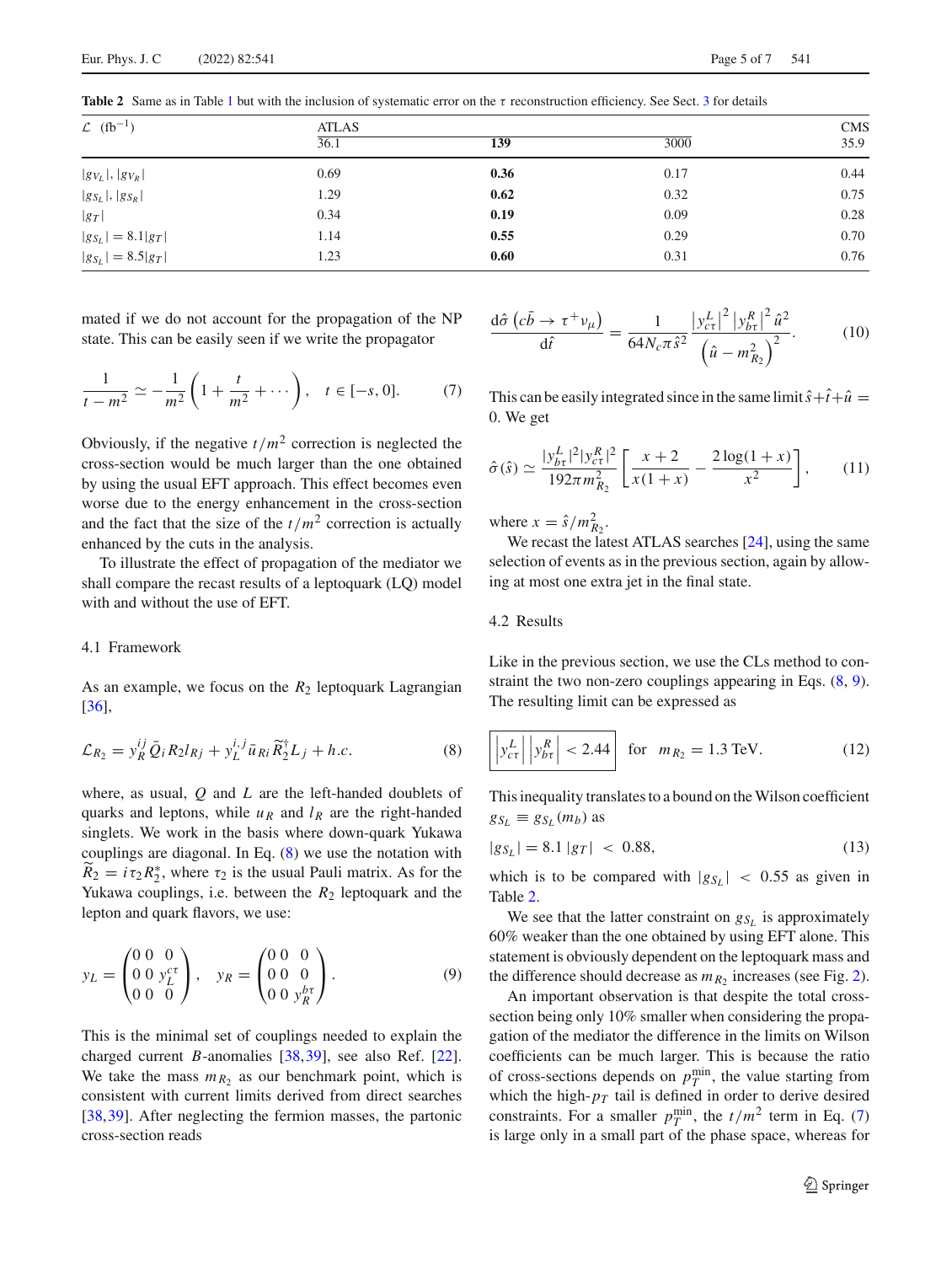| $\mathcal{L}$ (fb <sup>-1</sup> ) | <b>ATLAS</b>      |      |      | <b>CMS</b> |
|-----------------------------------|-------------------|------|------|------------|
|                                   | $\overline{36.1}$ | 139  | 3000 | 35.9       |
| $ g_{V_L} ,  g_{V_R} $            | 0.69              | 0.36 | 0.17 | 0.44       |
| $ g_{S_L} ,  g_{S_R} $            | 1.29              | 0.62 | 0.32 | 0.75       |
| $ g_T $                           | 0.34              | 0.19 | 0.09 | 0.28       |
| $ g_{S_L}  = 8.1 g_T $            | 1.14              | 0.55 | 0.29 | 0.70       |
| $ g_{S_L}  = 8.5 g_T $            | 1.23              | 0.60 | 0.31 | 0.76       |

<span id="page-4-0"></span>**Table 2** Same as in Table [1](#page-3-1) but with the inclusion of systematic error on the τ reconstruction efficiency. See Sect. [3](#page-2-0) for details

mated if we do not account for the propagation of the NP state. This can be easily seen if we write the propagator

$$
\frac{1}{t - m^2} \simeq -\frac{1}{m^2} \left( 1 + \frac{t}{m^2} + \dots \right), \quad t \in [-s, 0]. \tag{7}
$$

Obviously, if the negative  $t/m^2$  correction is neglected the cross-section would be much larger than the one obtained by using the usual EFT approach. This effect becomes even worse due to the energy enhancement in the cross-section and the fact that the size of the  $t/m^2$  correction is actually enhanced by the cuts in the analysis.

To illustrate the effect of propagation of the mediator we shall compare the recast results of a leptoquark (LQ) model with and without the use of EFT.

### 4.1 Framework

As an example, we focus on the  $R_2$  leptoquark Lagrangian [\[36](#page-6-22)],

$$
\mathcal{L}_{R_2} = y_R^{ij} \bar{Q}_i R_2 l_{Rj} + y_L^{i,j} \bar{u}_{Ri} \tilde{R}_2^{\dagger} L_j + h.c.
$$
 (8)

where, as usual, *Q* and *L* are the left-handed doublets of quarks and leptons, while  $u_R$  and  $l_R$  are the right-handed singlets. We work in the basis where down-quark Yukawa couplings are diagonal. In Eq. [\(8\)](#page-4-1) we use the notation with  $R_2 = i\tau_2 R_2^*$ , where  $\tau_2$  is the usual Pauli matrix. As for the Yukawa couplings, i.e. between the  $R_2$  leptoquark and the lepton and quark flavors, we use:

$$
y_L = \begin{pmatrix} 0 & 0 & 0 \\ 0 & 0 & y_L^{c\tau} \\ 0 & 0 & 0 \end{pmatrix}, \quad y_R = \begin{pmatrix} 0 & 0 & 0 \\ 0 & 0 & 0 \\ 0 & 0 & y_R^{b\tau} \end{pmatrix}.
$$
 (9)

This is the minimal set of couplings needed to explain the charged current *B*-anomalies [\[38](#page-6-23)[,39](#page-6-24)], see also Ref. [\[22](#page-6-5)]. We take the mass  $m_{R_2}$  as our benchmark point, which is consistent with current limits derived from direct searches [\[38](#page-6-23),[39\]](#page-6-24). After neglecting the fermion masses, the partonic cross-section reads

$$
\frac{\mathrm{d}\hat{\sigma}\left(c\bar{b}\rightarrow\tau^{+}\nu_{\mu}\right)}{\mathrm{d}\hat{t}}=\frac{1}{64N_{c}\pi\hat{s}^{2}}\frac{\left|y_{c\tau}^{L}\right|^{2}\left|y_{b\tau}^{R}\right|^{2}\hat{u}^{2}}{\left(\hat{u}-m_{R_{2}}^{2}\right)^{2}}.\tag{10}
$$

<span id="page-4-3"></span>This can be easily integrated since in the same limit  $\hat{s} + \hat{t} + \hat{u} =$ 0. We get

$$
\hat{\sigma}(\hat{s}) \simeq \frac{|y_{bt}^L|^2 |y_{ct}^R|^2}{192\pi m_{R_2}^2} \left[ \frac{x+2}{x(1+x)} - \frac{2\log(1+x)}{x^2} \right],\qquad(11)
$$

where  $x = \hat{s}/m_{R_2}^2$ .

We recast the latest ATLAS searches [\[24\]](#page-6-7), using the same selection of events as in the previous section, again by allowing at most one extra jet in the final state.

## 4.2 Results

Like in the previous section, we use the CLs method to constraint the two non-zero couplings appearing in Eqs. [\(8,](#page-4-1) [9\)](#page-4-2). The resulting limit can be expressed as

<span id="page-4-4"></span><span id="page-4-1"></span>
$$
\left| y_{c\tau}^L \right| \left| y_{b\tau}^R \right| < 2.44 \quad \text{for} \quad m_{R_2} = 1.3 \text{ TeV}. \tag{12}
$$

This inequality translates to a bound on the Wilson coefficient  $g_{S_L} \equiv g_{S_L}(m_b)$  as

<span id="page-4-5"></span>
$$
|g_{S_L}| = 8.1 |g_T| < 0.88,\tag{13}
$$

which is to be compared with  $|g_{S_L}| < 0.55$  as given in Table [2.](#page-4-0)

<span id="page-4-2"></span>We see that the latter constraint on  $g_{S_L}$  is approximately 60% weaker than the one obtained by using EFT alone. This statement is obviously dependent on the leptoquark mass and the difference should decrease as  $m_{R_2}$  increases (see Fig. [2\)](#page-5-0).

An important observation is that despite the total crosssection being only 10% smaller when considering the propagation of the mediator the difference in the limits on Wilson coefficients can be much larger. This is because the ratio of cross-sections depends on  $p_T^{\text{min}}$ , the value starting from which the high- $p_T$  tail is defined in order to derive desired constraints. For a smaller  $p_T^{\min}$ , the  $t/m^2$  term in Eq. [\(7\)](#page-4-3) is large only in a small part of the phase space, whereas for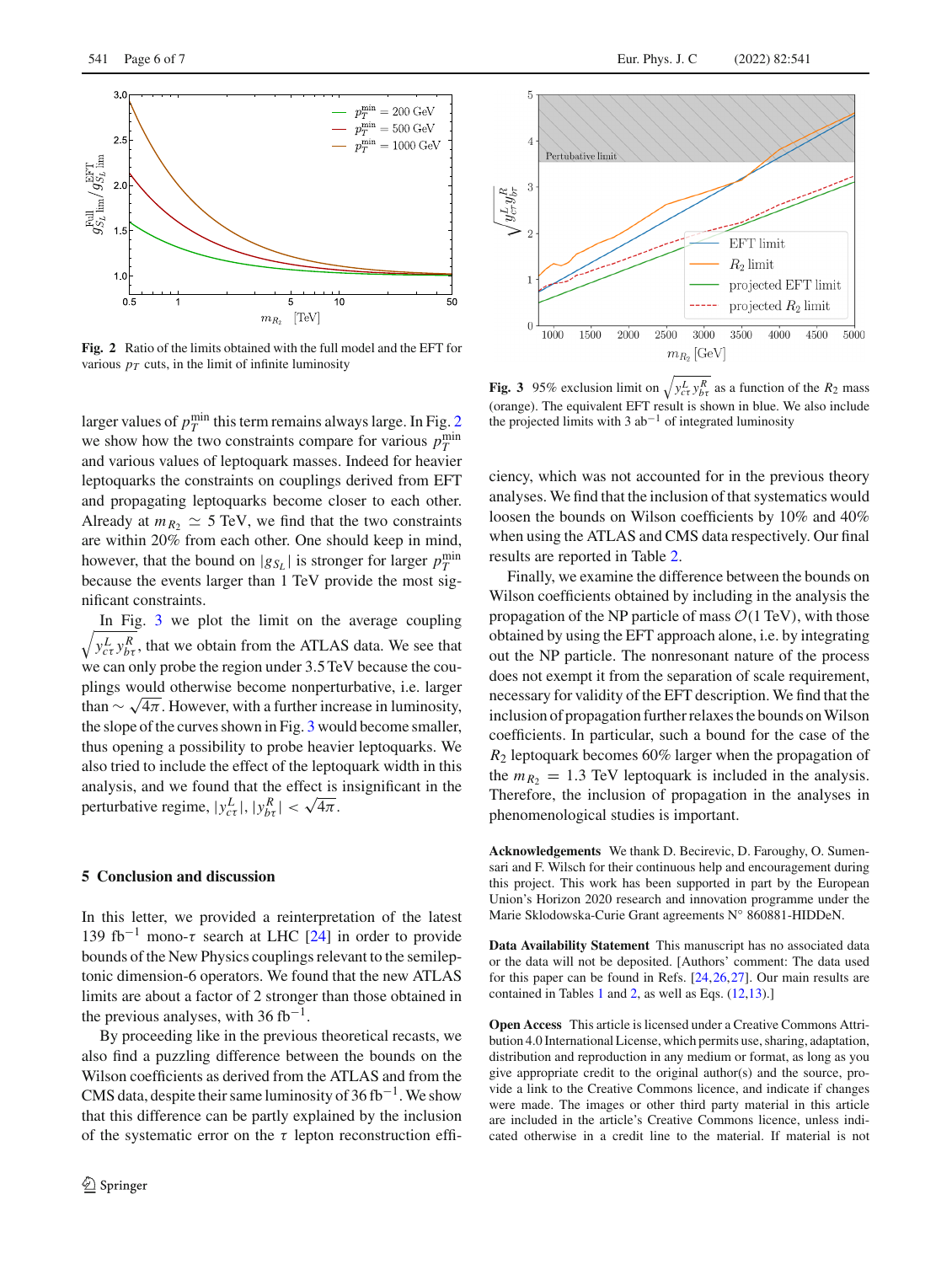

<span id="page-5-0"></span>**Fig. 2** Ratio of the limits obtained with the full model and the EFT for various  $p_T$  cuts, in the limit of infinite luminosity

larger values of  $p_T^{\text{min}}$  this term remains always large. In Fig. [2](#page-5-0) we show how the two constraints compare for various  $p_T^{\text{min}}$ and various values of leptoquark masses. Indeed for heavier leptoquarks the constraints on couplings derived from EFT and propagating leptoquarks become closer to each other. Already at  $m_{R_2} \simeq 5$  TeV, we find that the two constraints are within 20% from each other. One should keep in mind, however, that the bound on  $|g_{S_L}|$  is stronger for larger  $p_T^{\text{min}}$ because the events larger than 1 TeV provide the most significant constraints.

 $\sqrt{y_{c\tau}^L y_{b\tau}^R}$ , that we obtain from the ATLAS data. We see that In Fig. [3](#page-5-1) we plot the limit on the average coupling we can only probe the region under 3.5TeV because the couplings would otherwise become nonperturbative, i.e. larger than  $\sim \sqrt{4\pi}$ . However, with a further increase in luminosity, the slope of the curves shown in Fig. [3](#page-5-1) would become smaller, thus opening a possibility to probe heavier leptoquarks. We also tried to include the effect of the leptoquark width in this analysis, and we found that the effect is insignificant in the perturbative regime,  $|y_{c\tau}^L|, |y_{b\tau}^R| < \sqrt{4\pi}$ .

## **5 Conclusion and discussion**

In this letter, we provided a reinterpretation of the latest 139 fb<sup>-1</sup> mono-τ search at LHC [\[24](#page-6-7)] in order to provide bounds of the New Physics couplings relevant to the semileptonic dimension-6 operators. We found that the new ATLAS limits are about a factor of 2 stronger than those obtained in the previous analyses, with 36 fb<sup>-1</sup>.

By proceeding like in the previous theoretical recasts, we also find a puzzling difference between the bounds on the Wilson coefficients as derived from the ATLAS and from the CMS data, despite their same luminosity of  $36$  fb<sup>-1</sup>. We show that this difference can be partly explained by the inclusion of the systematic error on the  $\tau$  lepton reconstruction effi-



<span id="page-5-1"></span>**Fig. 3** 95% exclusion limit on  $\sqrt{y_{c\tau}^L y_{b\tau}^R}$  as a function of the  $R_2$  mass (orange). The equivalent EFT result is shown in blue. We also include the projected limits with 3 ab−<sup>1</sup> of integrated luminosity

ciency, which was not accounted for in the previous theory analyses. We find that the inclusion of that systematics would loosen the bounds on Wilson coefficients by 10% and 40% when using the ATLAS and CMS data respectively. Our final results are reported in Table [2.](#page-4-0)

Finally, we examine the difference between the bounds on Wilson coefficients obtained by including in the analysis the propagation of the NP particle of mass  $O(1 \text{ TeV})$ , with those obtained by using the EFT approach alone, i.e. by integrating out the NP particle. The nonresonant nature of the process does not exempt it from the separation of scale requirement, necessary for validity of the EFT description. We find that the inclusion of propagation further relaxes the bounds on Wilson coefficients. In particular, such a bound for the case of the *R*<sup>2</sup> leptoquark becomes 60% larger when the propagation of the  $m_{R_2} = 1.3$  TeV leptoquark is included in the analysis. Therefore, the inclusion of propagation in the analyses in phenomenological studies is important.

**Acknowledgements** We thank D. Becirevic, D. Faroughy, O. Sumensari and F. Wilsch for their continuous help and encouragement during this project. This work has been supported in part by the European Union's Horizon 2020 research and innovation programme under the Marie Sklodowska-Curie Grant agreements N◦ 860881-HIDDeN.

**Data Availability Statement** This manuscript has no associated data or the data will not be deposited. [Authors' comment: The data used for this paper can be found in Refs. [\[24](#page-6-7)[,26,](#page-6-11)[27](#page-6-12)]. Our main results are contained in Tables [1](#page-3-1) and [2,](#page-4-0) as well as Eqs. [\(12](#page-4-4)[,13\)](#page-4-5).]

**Open Access** This article is licensed under a Creative Commons Attribution 4.0 International License, which permits use, sharing, adaptation, distribution and reproduction in any medium or format, as long as you give appropriate credit to the original author(s) and the source, provide a link to the Creative Commons licence, and indicate if changes were made. The images or other third party material in this article are included in the article's Creative Commons licence, unless indicated otherwise in a credit line to the material. If material is not